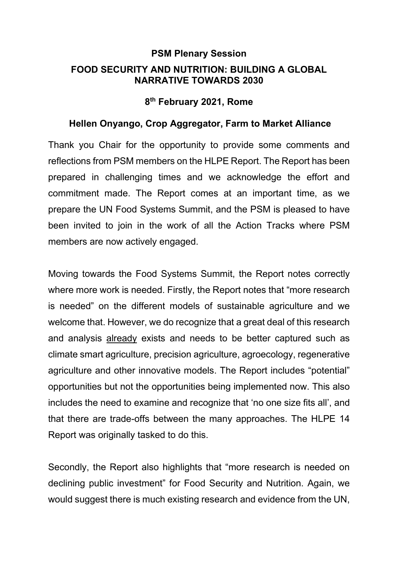## **PSM Plenary Session FOOD SECURITY AND NUTRITION: BUILDING A GLOBAL NARRATIVE TOWARDS 2030**

## **8th February 2021, Rome**

## **Hellen Onyango, Crop Aggregator, Farm to Market Alliance**

Thank you Chair for the opportunity to provide some comments and reflections from PSM members on the HLPE Report. The Report has been prepared in challenging times and we acknowledge the effort and commitment made. The Report comes at an important time, as we prepare the UN Food Systems Summit, and the PSM is pleased to have been invited to join in the work of all the Action Tracks where PSM members are now actively engaged.

Moving towards the Food Systems Summit, the Report notes correctly where more work is needed. Firstly, the Report notes that "more research is needed" on the different models of sustainable agriculture and we welcome that. However, we do recognize that a great deal of this research and analysis already exists and needs to be better captured such as climate smart agriculture, precision agriculture, agroecology, regenerative agriculture and other innovative models. The Report includes "potential" opportunities but not the opportunities being implemented now. This also includes the need to examine and recognize that 'no one size fits all', and that there are trade-offs between the many approaches. The HLPE 14 Report was originally tasked to do this.

Secondly, the Report also highlights that "more research is needed on declining public investment" for Food Security and Nutrition. Again, we would suggest there is much existing research and evidence from the UN,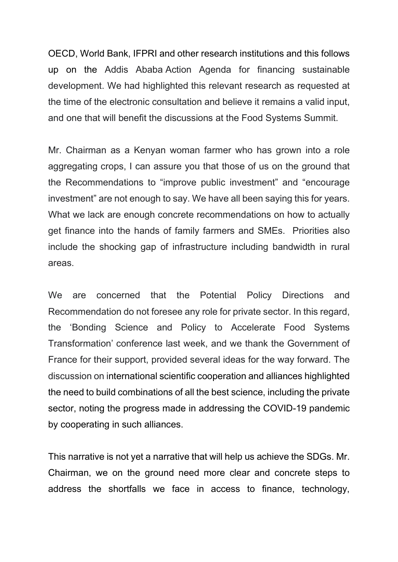OECD, World Bank, IFPRI and other research institutions and this follows up on the Addis Ababa Action Agenda for financing sustainable development. We had highlighted this relevant research as requested at the time of the electronic consultation and believe it remains a valid input, and one that will benefit the discussions at the Food Systems Summit.

Mr. Chairman as a Kenyan woman farmer who has grown into a role aggregating crops, I can assure you that those of us on the ground that the Recommendations to "improve public investment" and "encourage investment" are not enough to say. We have all been saying this for years. What we lack are enough concrete recommendations on how to actually get finance into the hands of family farmers and SMEs. Priorities also include the shocking gap of infrastructure including bandwidth in rural areas.

We are concerned that the Potential Policy Directions and Recommendation do not foresee any role for private sector. In this regard, the 'Bonding Science and Policy to Accelerate Food Systems Transformation' conference last week, and we thank the Government of France for their support, provided several ideas for the way forward. The discussion on international scientific cooperation and alliances highlighted the need to build combinations of all the best science, including the private sector, noting the progress made in addressing the COVID-19 pandemic by cooperating in such alliances.

This narrative is not yet a narrative that will help us achieve the SDGs. Mr. Chairman, we on the ground need more clear and concrete steps to address the shortfalls we face in access to finance, technology,